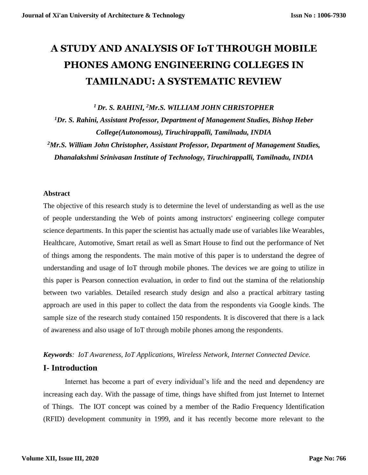# **A STUDY AND ANALYSIS OF IoT THROUGH MOBILE PHONES AMONG ENGINEERING COLLEGES IN TAMILNADU: A SYSTEMATIC REVIEW**

*<sup>1</sup>Dr. S. RAHINI, <sup>2</sup>Mr.S. WILLIAM JOHN CHRISTOPHER*

*<sup>1</sup>Dr. S. Rahini, Assistant Professor, Department of Management Studies, Bishop Heber College(Autonomous), Tiruchirappalli, Tamilnadu, INDIA*

*<sup>2</sup>Mr.S. William John Christopher, Assistant Professor, Department of Management Studies, Dhanalakshmi Srinivasan Institute of Technology, Tiruchirappalli, Tamilnadu, INDIA*

#### **Abstract**

The objective of this research study is to determine the level of understanding as well as the use of people understanding the Web of points among instructors' engineering college computer science departments. In this paper the scientist has actually made use of variables like Wearables, Healthcare, Automotive, Smart retail as well as Smart House to find out the performance of Net of things among the respondents. The main motive of this paper is to understand the degree of understanding and usage of IoT through mobile phones. The devices we are going to utilize in this paper is Pearson connection evaluation, in order to find out the stamina of the relationship between two variables. Detailed research study design and also a practical arbitrary tasting approach are used in this paper to collect the data from the respondents via Google kinds. The sample size of the research study contained 150 respondents. It is discovered that there is a lack of awareness and also usage of IoT through mobile phones among the respondents.

#### *Keywords: IoT Awareness, IoT Applications, Wireless Network, Internet Connected Device.*

# **I- Introduction**

Internet has become a part of every individual's life and the need and dependency are increasing each day. With the passage of time, things have shifted from just Internet to Internet of Things. The IOT concept was coined by a member of the Radio Frequency Identification (RFID) development community in 1999, and it has recently become more relevant to the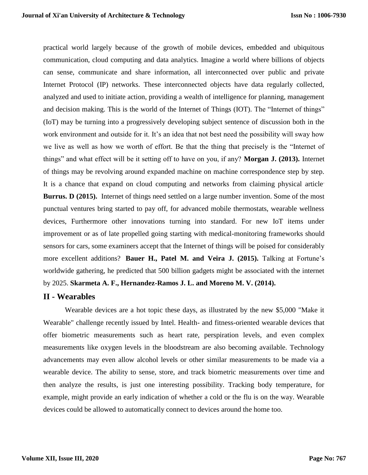practical world largely because of the growth of mobile devices, embedded and ubiquitous communication, cloud computing and data analytics. Imagine a world where billions of objects can sense, communicate and share information, all interconnected over public and private Internet Protocol (IP) networks. These interconnected objects have data regularly collected, analyzed and used to initiate action, providing a wealth of intelligence for planning, management and decision making. This is the world of the Internet of Things (IOT). The "Internet of things" (IoT) may be turning into a progressively developing subject sentence of discussion both in the work environment and outside for it. It's an idea that not best need the possibility will sway how we live as well as how we worth of effort. Be that the thing that precisely is the "Internet of things" and what effect will be it setting off to have on you, if any? **Morgan J. (2013).** Internet of things may be revolving around expanded machine on machine correspondence step by step. It is a chance that expand on cloud computing and networks from claiming physical article. **Burrus. D (2015).** Internet of things need settled on a large number invention. Some of the most punctual ventures bring started to pay off, for advanced mobile thermostats, wearable wellness devices, Furthermore other innovations turning into standard. For new IoT items under improvement or as of late propelled going starting with medical-monitoring frameworks should sensors for cars, some examiners accept that the Internet of things will be poised for considerably more excellent additions? **Bauer H., Patel M. and Veira J. (2015).** Talking at Fortune's worldwide gathering, he predicted that 500 billion gadgets might be associated with the internet by 2025. **Skarmeta A. F., Hernandez-Ramos J. L. and Moreno M. V. (2014).** 

# **II - Wearables**

Wearable devices are a hot topic these days, as illustrated by the new \$5,000 "Make it Wearable" challenge recently issued by Intel. Health- and fitness-oriented wearable devices that offer biometric measurements such as heart rate, perspiration levels, and even complex measurements like oxygen levels in the bloodstream are also becoming available. Technology advancements may even allow alcohol levels or other similar measurements to be made via a wearable device. The ability to sense, store, and track biometric measurements over time and then analyze the results, is just one interesting possibility. Tracking body temperature, for example, might provide an early indication of whether a cold or the flu is on the way. Wearable devices could be allowed to automatically connect to devices around the home too.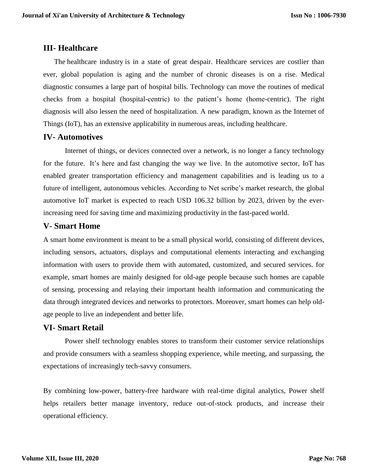# **III- Healthcare**

The [healthcare industry](https://www.peerbits.com/blog/mobile-healthcare-revolutionzing-industry.html) is in a state of great despair. Healthcare services are costlier than ever, global population is aging and the number of chronic diseases is on a rise. Medical diagnostic consumes a large part of hospital bills. Technology can move the routines of medical checks from a hospital (hospital-centric) to the patient's home (home-centric). The right diagnosis will also lessen the need of hospitalization. A new paradigm, known as the Internet of Things (IoT), has an extensive applicability in numerous areas, including healthcare.

# **IV- Automotives**

Internet of things, or devices connected over a network, is no longer a fancy technology for the future. It's here and fast changing the way we live. In the automotive sector, IoT has enabled greater transportation efficiency and management capabilities and is leading us to a future of intelligent, autonomous vehicles. According to Net scribe's market [research,](https://www.netscribes.com/solutions/market-intelligence/market-research/) the global automotive IoT market is expected to reach USD 106.32 billion by 2023, driven by the everincreasing need for saving time and maximizing productivity in the fast-paced world.

# **V- Smart Home**

A smart home environment is meant to be a small physical world, consisting of different devices, including sensors, actuators, displays and computational elements interacting and exchanging information with users to provide them with automated, customized, and secured services. for example, smart homes are mainly designed for old-age people because such homes are capable of sensing, processing and relaying their important health information and communicating the data through integrated devices and networks to protectors. Moreover, smart homes can help oldage people to live an independent and better life.

# **VI- Smart Retail**

Power shelf technology enables stores to transform their customer service relationships and provide consumers with a seamless shopping experience, while meeting, and surpassing, the expectations of increasingly tech-savvy consumers.

By combining low-power, battery-free hardware with real-time digital analytics, Power shelf helps retailers better manage inventory, reduce out-of-stock products, and increase their operational efficiency.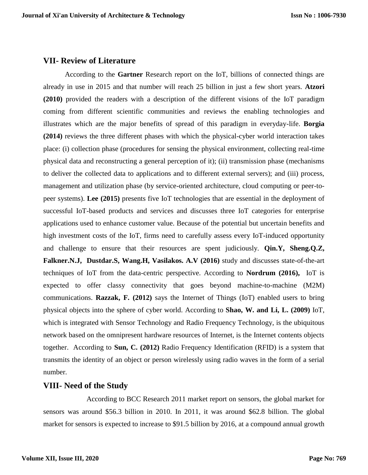# **VII- Review of Literature**

According to the **Gartner** Research report on the IoT, billions of connected things are already in use in 2015 and that number will reach 25 billion in just a few short years. **Atzori (2010)** provided the readers with a description of the different visions of the IoT paradigm coming from different scientific communities and reviews the enabling technologies and illustrates which are the major benefits of spread of this paradigm in everyday-life. **Borgia (2014)** reviews the three different phases with which the physical-cyber world interaction takes place: (i) collection phase (procedures for sensing the physical environment, collecting real-time physical data and reconstructing a general perception of it); (ii) transmission phase (mechanisms to deliver the collected data to applications and to different external servers); and (iii) process, management and utilization phase (by service-oriented architecture, cloud computing or peer-topeer systems). **Lee (2015)** presents five IoT technologies that are essential in the deployment of successful IoT-based products and services and discusses three IoT categories for enterprise applications used to enhance customer value. Because of the potential but uncertain benefits and high investment costs of the IoT, firms need to carefully assess every IoT-induced opportunity and challenge to ensure that their resources are spent judiciously. **Qin.Y, Sheng.Q.Z, Falkner.N.J, Dustdar.S, Wang.H, Vasilakos. A.V (2016)** study and discusses state-of-the-art techniques of IoT from the data-centric perspective. According to **Nordrum (2016),** IoT is expected to offer classy connectivity that goes beyond machine-to-machine (M2M) communications. **Razzak, F. (2012)** says the Internet of Things (IoT) enabled users to bring physical objects into the sphere of cyber world. According to **Shao, W. and Li, L. (2009)** IoT, which is integrated with Sensor Technology and Radio Frequency Technology, is the ubiquitous network based on the omnipresent hardware resources of Internet, is the Internet contents objects together. According to **Sun, C. (2012)** Radio Frequency Identification (RFID) is a system that transmits the identity of an object or person wirelessly using radio waves in the form of a serial number.

# **VIII- Need of the Study**

According to BCC Research 2011 market report on sensors, the global market for sensors was around \$56.3 billion in 2010. In 2011, it was around \$62.8 billion. The global market for sensors is expected to increase to \$91.5 billion by 2016, at a compound annual growth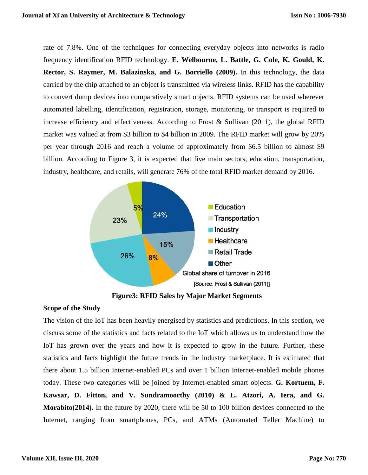rate of 7.8%. One of the techniques for connecting everyday objects into networks is radio frequency identification RFID technology. **E. Welbourne, L. Battle, G. Cole, K. Gould, K. Rector, S. Raymer, M. Balazinska, and G. Borriello (2009).** In this technology, the data carried by the chip attached to an object is transmitted via wireless links. RFID has the capability to convert dump devices into comparatively smart objects. RFID systems can be used wherever automated labelling, identification, registration, storage, monitoring, or transport is required to increase efficiency and effectiveness. According to Frost  $\&$  Sullivan (2011), the global RFID market was valued at from \$3 billion to \$4 billion in 2009. The RFID market will grow by 20% per year through 2016 and reach a volume of approximately from \$6.5 billion to almost \$9 billion. According to Figure 3, it is expected that five main sectors, education, transportation, industry, healthcare, and retails, will generate 76% of the total RFID market demand by 2016.



**Figure3: RFID Sales by Major Market Segments**

#### **Scope of the Study**

The vision of the IoT has been heavily energised by statistics and predictions. In this section, we discuss some of the statistics and facts related to the IoT which allows us to understand how the IoT has grown over the years and how it is expected to grow in the future. Further, these statistics and facts highlight the future trends in the industry marketplace. It is estimated that there about 1.5 billion Internet-enabled PCs and over 1 billion Internet-enabled mobile phones today. These two categories will be joined by Internet-enabled smart objects. **G. Kortuem, F. Kawsar, D. Fitton, and V. Sundramoorthy (2010) & L. Atzori, A. Iera, and G. Morabito(2014).** In the future by 2020, there will be 50 to 100 billion devices connected to the Internet, ranging from smartphones, PCs, and ATMs (Automated Teller Machine) to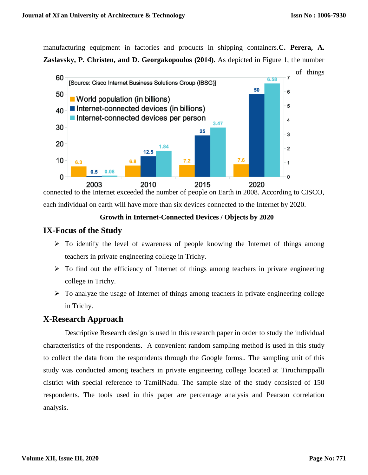manufacturing equipment in factories and products in shipping containers.**C. Perera, A. Zaslavsky, P. Christen, and D. Georgakopoulos (2014).** As depicted in Figure 1, the number



connected to the Internet exceeded the number of people on Earth in 2008. According to CISCO, each individual on earth will have more than six devices connected to the Internet by 2020.

#### **Growth in Internet-Connected Devices / Objects by 2020**

# **IX-Focus of the Study**

- $\triangleright$  To identify the level of awareness of people knowing the Internet of things among teachers in private engineering college in Trichy.
- $\triangleright$  To find out the efficiency of Internet of things among teachers in private engineering college in Trichy.
- $\triangleright$  To analyze the usage of Internet of things among teachers in private engineering college in Trichy.

# **X-Research Approach**

Descriptive Research design is used in this research paper in order to study the individual characteristics of the respondents. A convenient random sampling method is used in this study to collect the data from the respondents through the Google forms.. The sampling unit of this study was conducted among teachers in private engineering college located at Tiruchirappalli district with special reference to TamilNadu. The sample size of the study consisted of 150 respondents. The tools used in this paper are percentage analysis and Pearson correlation analysis.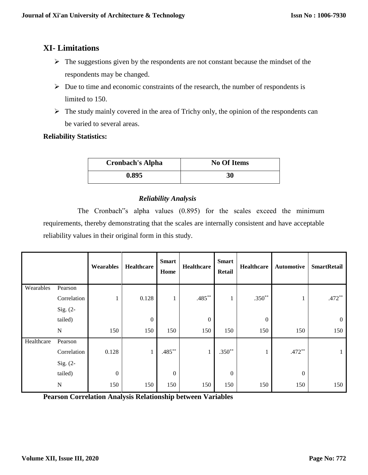# **XI- Limitations**

- $\triangleright$  The suggestions given by the respondents are not constant because the mindset of the respondents may be changed.
- $\triangleright$  Due to time and economic constraints of the research, the number of respondents is limited to 150.
- $\triangleright$  The study mainly covered in the area of Trichy only, the opinion of the respondents can be varied to several areas.

# **Reliability Statistics:**

| <b>Cronbach's Alpha</b> | <b>No Of Items</b> |  |  |  |
|-------------------------|--------------------|--|--|--|
| 0.895                   | 30                 |  |  |  |

# *Reliability Analysis*

The Cronbach"s alpha values (0.895) for the scales exceed the minimum requirements, thereby demonstrating that the scales are internally consistent and have acceptable reliability values in their original form in this study.

|            |             | Wearables        | <b>Healthcare</b> | <b>Smart</b><br>Home | Healthcare       | <b>Smart</b><br>Retail | Healthcare       | <b>Automotive</b> | <b>SmartRetail</b> |
|------------|-------------|------------------|-------------------|----------------------|------------------|------------------------|------------------|-------------------|--------------------|
| Wearables  | Pearson     |                  |                   |                      |                  |                        |                  |                   |                    |
|            | Correlation | 1                | 0.128             | $\mathbf{1}$         | $.485***$        | 1                      | $.350**$         | 1                 | $.472**$           |
|            | Sig. (2-    |                  |                   |                      |                  |                        |                  |                   |                    |
|            | tailed)     |                  | $\boldsymbol{0}$  |                      | $\boldsymbol{0}$ |                        | $\boldsymbol{0}$ |                   | $\boldsymbol{0}$   |
|            | ${\bf N}$   | 150              | 150               | 150                  | 150              | 150                    | 150              | 150               | 150                |
| Healthcare | Pearson     |                  |                   |                      |                  |                        |                  |                   |                    |
|            | Correlation | 0.128            | $\mathbf{1}$      | $.485***$            | $\mathbf{1}$     | $.350**$               | $\bf{1}$         | $.472**$          | $\perp$            |
|            | Sig. (2-    |                  |                   |                      |                  |                        |                  |                   |                    |
|            | tailed)     | $\boldsymbol{0}$ |                   | $\mathbf{0}$         |                  | $\boldsymbol{0}$       |                  | $\mathbf{0}$      |                    |
|            | ${\bf N}$   | 150              | 150               | 150                  | 150              | 150                    | 150              | 150               | 150                |

**Pearson Correlation Analysis Relationship between Variables**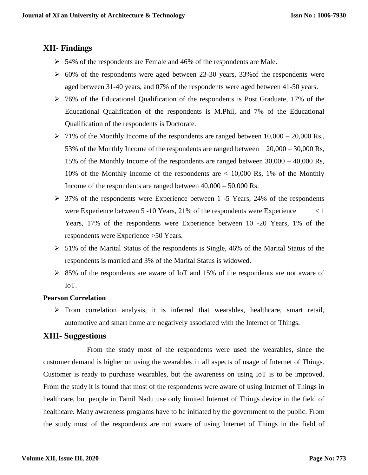# **XII- Findings**

- $\geq 54\%$  of the respondents are Female and 46% of the respondents are Male.
- $\geq 60\%$  of the respondents were aged between 23-30 years, 33% of the respondents were aged between 31-40 years, and 07% of the respondents were aged between 41-50 years.
- 76% of the Educational Qualification of the respondents is Post Graduate, 17% of the Educational Qualification of the respondents is M.Phil, and 7% of the Educational Qualification of the respondents is Doctorate.
- $\triangleright$  71% of the Monthly Income of the respondents are ranged between 10,000 20,000 Rs, 53% of the Monthly Income of the respondents are ranged between 20,000 – 30,000 Rs, 15% of the Monthly Income of the respondents are ranged between 30,000 – 40,000 Rs, 10% of the Monthly Income of the respondents are < 10,000 Rs, 1% of the Monthly Income of the respondents are ranged between 40,000 – 50,000 Rs.
- $\geq$  37% of the respondents were Experience between 1 -5 Years, 24% of the respondents were Experience between  $5 - 10$  Years,  $21\%$  of the respondents were Experience  $\langle 1 \rangle$ Years, 17% of the respondents were Experience between 10 -20 Years, 1% of the respondents were Experience >50 Years.
- $> 51\%$  of the Marital Status of the respondents is Single, 46% of the Marital Status of the respondents is married and 3% of the Marital Status is widowed.
- $\geq$  85% of the respondents are aware of IoT and 15% of the respondents are not aware of IoT.

# **Pearson Correlation**

 $\triangleright$  From correlation analysis, it is inferred that wearables, healthcare, smart retail, automotive and smart home are negatively associated with the Internet of Things.

# **XIII- Suggestions**

From the study most of the respondents were used the wearables, since the customer demand is higher on using the wearables in all aspects of usage of Internet of Things. Customer is ready to purchase wearables, but the awareness on using IoT is to be improved. From the study it is found that most of the respondents were aware of using Internet of Things in healthcare, but people in Tamil Nadu use only limited Internet of Things device in the field of healthcare. Many awareness programs have to be initiated by the government to the public. From the study most of the respondents are not aware of using Internet of Things in the field of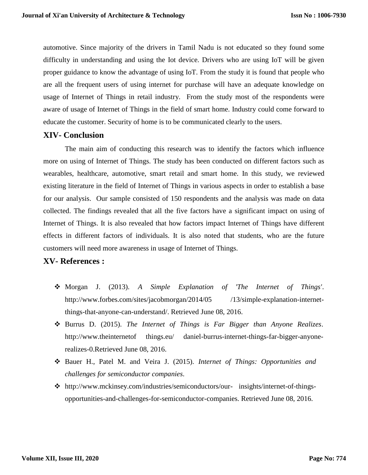automotive. Since majority of the drivers in Tamil Nadu is not educated so they found some difficulty in understanding and using the Iot device. Drivers who are using IoT will be given proper guidance to know the advantage of using IoT. From the study it is found that people who are all the frequent users of using internet for purchase will have an adequate knowledge on usage of Internet of Things in retail industry. From the study most of the respondents were aware of usage of Internet of Things in the field of smart home. Industry could come forward to educate the customer. Security of home is to be communicated clearly to the users.

# **XIV- Conclusion**

The main aim of conducting this research was to identify the factors which influence more on using of Internet of Things. The study has been conducted on different factors such as wearables, healthcare, automotive, smart retail and smart home. In this study, we reviewed existing literature in the field of Internet of Things in various aspects in order to establish a base for our analysis. Our sample consisted of 150 respondents and the analysis was made on data collected. The findings revealed that all the five factors have a significant impact on using of Internet of Things. It is also revealed that how factors impact Internet of Things have different effects in different factors of individuals. It is also noted that students, who are the future customers will need more awareness in usage of Internet of Things.

# **XV- References :**

- Morgan J. (2013). *A Simple Explanation of 'The Internet of Things'*. http://www.forbes.com/sites/jacobmorgan/2014/05 /13/simple-explanation-internetthings-that-anyone-can-understand/. Retrieved June 08, 2016.
- Burrus D. (2015). *The Internet of Things is Far Bigger than Anyone Realizes*. http://www.theinternetof things.eu/ daniel-burrus-internet-things-far-bigger-anyonerealizes-0.Retrieved June 08, 2016.
- Bauer H., Patel M. and Veira J. (2015). *Internet of Things: Opportunities and challenges for semiconductor companies*.
- http://www.mckinsey.com/industries/semiconductors/our- insights/internet-of-thingsopportunities-and-challenges-for-semiconductor-companies. Retrieved June 08, 2016.